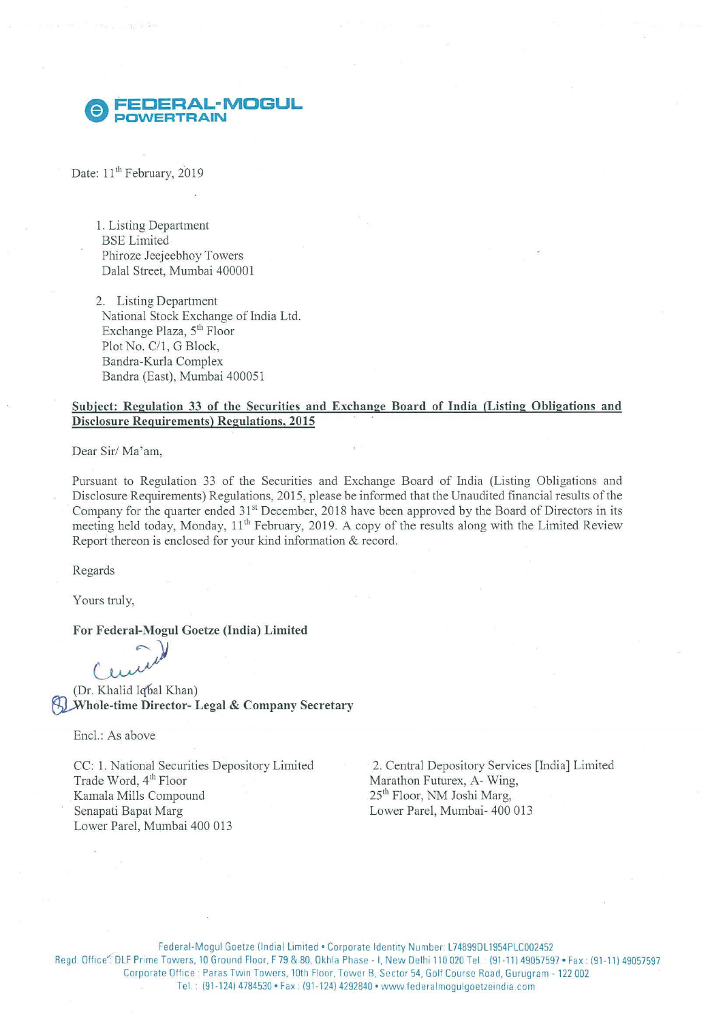## **A FECERAL-MOGUL** ~ **POWERTRAIN**

Date: 11<sup>th</sup> February, 2019

1. Listing Department BSE Limited Phiroze Jeejeebhoy Towers Dalal Street, Mumbai 400001

2. Listing Department National Stock Exchange of India Ltd. Exchange Plaza, 5<sup>th</sup> Floor Plot No. C/1, G Block, Bandra-Kurla Complex Bandra (East), Mumbai 400051

### **Subject: Regulation 33 of the Securities and Exchange Board of India (Listing Obligations and Disclosure Requirements) Regulations, 2015**

Dear Sir/Ma'am,

Pursuant to Regulation 33 of the Securities and Exchange Board of India (Listing Obligations and Disclosure Requirements) Regulations, 2015, please be informed that the Unaudited financial results of the Company for the quarter ended 31<sup>st</sup> December, 2018 have been approved by the Board of Directors in its meeting held today, Monday, 11<sup>th</sup> February, 2019. A copy of the results along with the Limited Review Report thereon is enclosed for your kind information & record.

Regards

Yours truly,

**For Federal-Mogul Goetze (India) Limited**<br>  $\begin{pmatrix} 1 & 0 \\ 0 & 0 \end{pmatrix}$ <br>
(Dr. Khalid Iqbal Khan) (Dr. Khalid Iqbal Khan) **Khole-time Director- Legal & Company Secretary** 

Encl.: As above

CC: 1. National Securities Depository Limited Trade Word, 4<sup>th</sup> Floor Kamala Mills Compound Senapati Bapat Marg Lower Pare!, Mumbai 400 013

2. Central Depository Services [India] Limited Marathon Futurex, A- Wing, 25th Floor, NM Joshi Marg, Lower Pare!, Mumbai- 400 013

Federal-Mogul Goetze (India) Limited . Corporate Identity Number: L74899DL1954PLC002452 Regd. Office": DLF Prime Towers, 10 Ground Floor, F 79 & 80, Okhla Phase - I, New Delhi 110 020 Tel. (91-11) 49057597 • Fax: (91-11) 49057597 Corporate Office : Paras Twin Towers, 10th Floor, Tower B, Sector 54, Golf Course Road, Gurugram - 122 002. Tel.: (91-124) 4784530 • Fax: (91-124) 4292840 • www.federalmogulgoetzeindia.com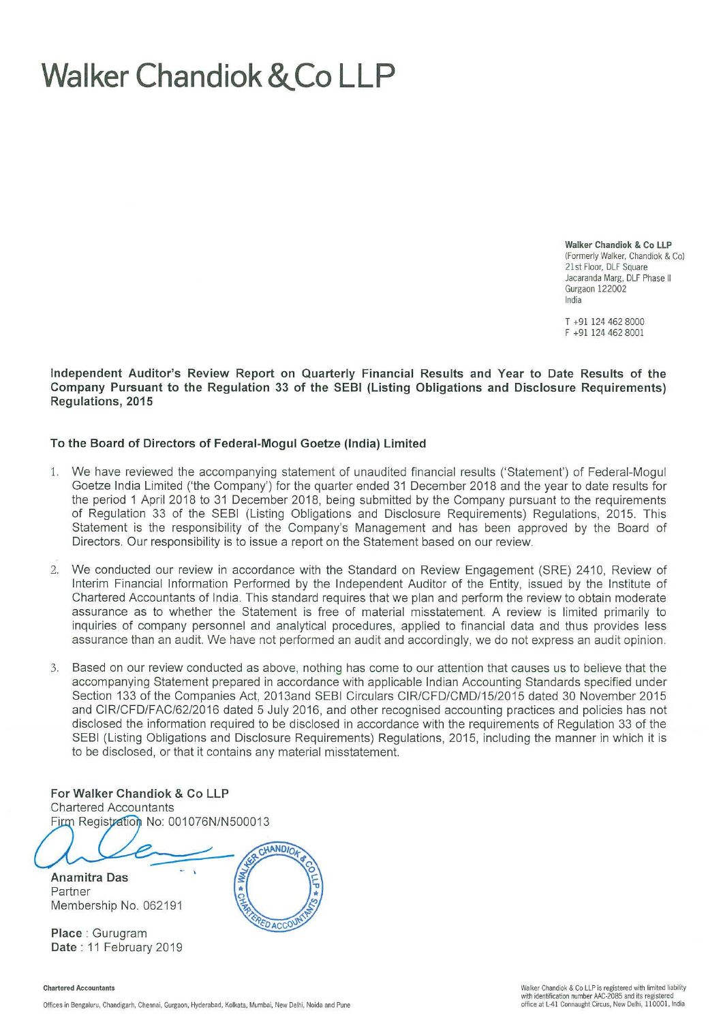# **Walker Chandiok &.Co LLP**

**Walker Chandiok** & Co **LLP**  (Formerly Walker, Chandiok & Co) 21st Floor, DLF Square Jacaranda Marg, DLF Phase II Gurgaon 122002 India

T +91 124 462 8000 F +91 124 462 8001

**Independent Auditor's Review Report on Quarterly Financial Results and Year to Date Results of the Company Pursuant to the Regulation 33 of the SEBI (Listing Obligations and Disclosure Requirements) Regulations, 2015** 

### **To the Board of Directors of Federal-Mogul Goetze (India) Limited**

- 1. We have reviewed the accompanying statement of unaudited financial results ('Statement') of Federal-Mogul Goetze India Limited ('the Company') for the quarter ended 31 December 2018 and the year to date results for the period 1 April 2018 to 31 December 2018, being submitted by the Company pursuant to the requirements of Regulation 33 of the SEBI (Listing Obligations and Disclosure Requirements) Regulations, 2015. This Statement is the responsibility of the Company's Management and has been approved by the Board of Directors. Our responsibility is to issue a report on the Statement based on our review.
- 2. We conducted our review in accordance with the Standard on Review Engagement (SRE) 2410, Review of Interim Financial Information Performed by the Independent Auditor of the Entity, issued by the Institute of Chartered Accountants of India. This standard requires that we plan and perform the review to obtain moderate assurance as to whether the Statement is free of material misstatement. A review is limited primarily to inquiries of company personnel and analytical procedures, applied to financial data and thus provides less assurance than an audit. We have not performed an audit and accordingly, we do not express an audit opinion.
- 3. Based on our review conducted as above, nothing has come to our attention that causes us to believe that the accompanying Statement prepared in accordance with applicable Indian Accounting Standards specified under Section 133 of the Companies Act, 2013and SEBI Circulars CIR/CFD/CMD/15/2015 dated 30 November 2015 and CIR/CFD/FAC/62/2016 dated 5 July 2016, and other recognised accounting practices and policies has not disclosed the information required to be disclosed in accordance with the requirements of Regulation 33 of the SEBI (Listing Obligations and Disclosure Requirements) Regulations, 2015, including the manner in which it is to be disclosed, or that it contains any material misstatement.

**For Walker Chandiok & Co LLP Chartered Accountants** Firm Registration No: 001076N/N500013

Offices in Bengaluru, Chandigarh, Chennai, Gurgaon, Hyderabad, Kolkata, Mumbai, New Delhi, Noida and Pune

**Anamitra Das** Partner Membership No. 062191

**Place** : Gurugram **Date:** 11 February 2019

Chartered Accountants

CHANDIO EDACCOL